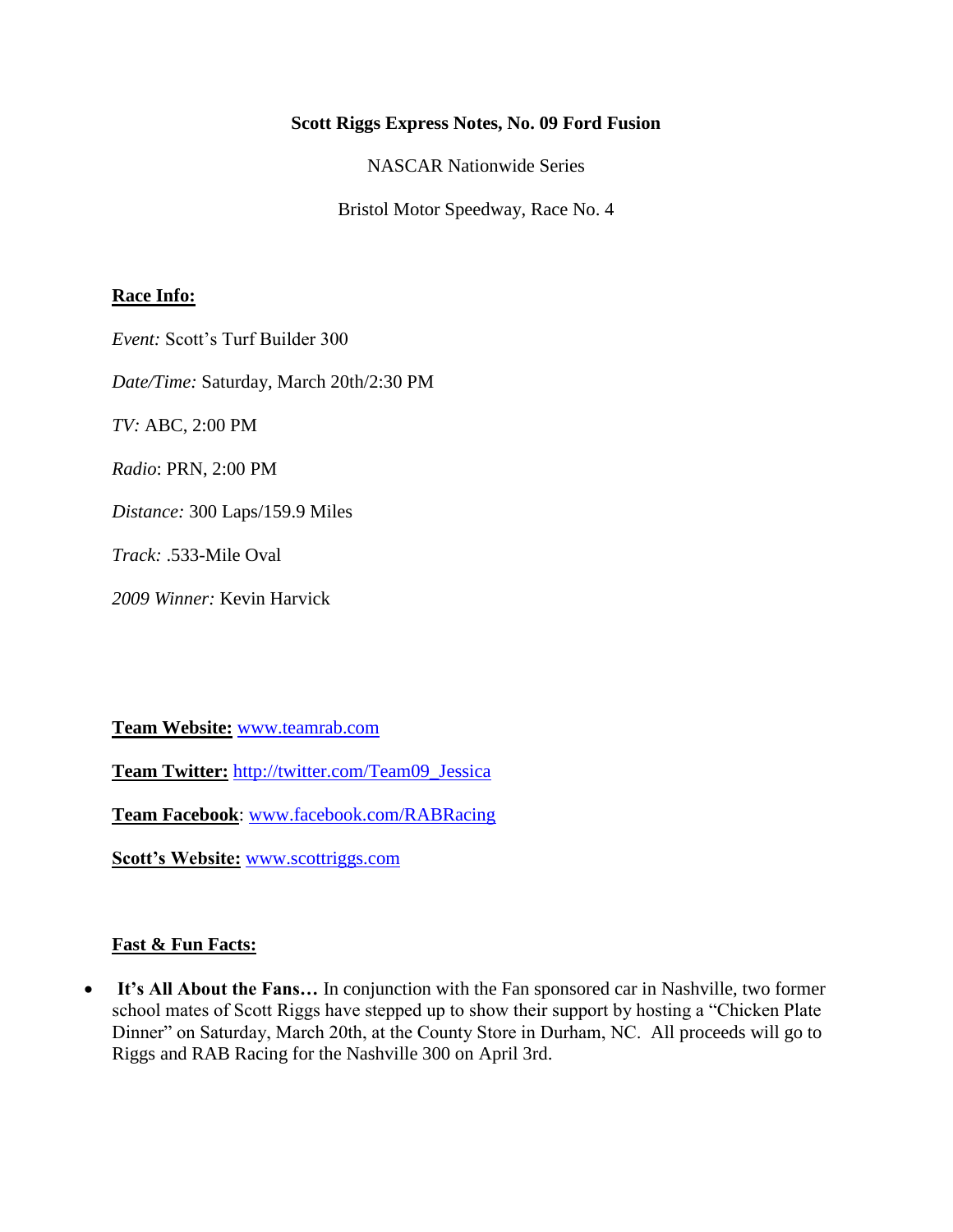#### **Scott Riggs Express Notes, No. 09 Ford Fusion**

NASCAR Nationwide Series

Bristol Motor Speedway, Race No. 4

### **Race Info:**

*Event:* Scott's Turf Builder 300

*Date/Time:* Saturday, March 20th/2:30 PM

*TV:* ABC, 2:00 PM

*Radio*: PRN, 2:00 PM

*Distance:* 300 Laps/159.9 Miles

*Track:* .533-Mile Oval

*2009 Winner:* Kevin Harvick

**Team Website:** [www.teamrab.com](http://www.teamrab.com/)

**Team Twitter:** [http://twitter.com/Team09\\_Jessica](http://twitter.com/Team09_Jessica)

**Team Facebook**: [www.facebook.com/RABRacing](http://www.facebook.com/RABRacing)

**Scott's Website:** [www.scottriggs.com](http://www.scottriggs.com/)

#### **Fast & Fun Facts:**

 **It's All About the Fans…** In conjunction with the Fan sponsored car in Nashville, two former school mates of Scott Riggs have stepped up to show their support by hosting a "Chicken Plate Dinner" on Saturday, March 20th, at the County Store in Durham, NC. All proceeds will go to Riggs and RAB Racing for the Nashville 300 on April 3rd.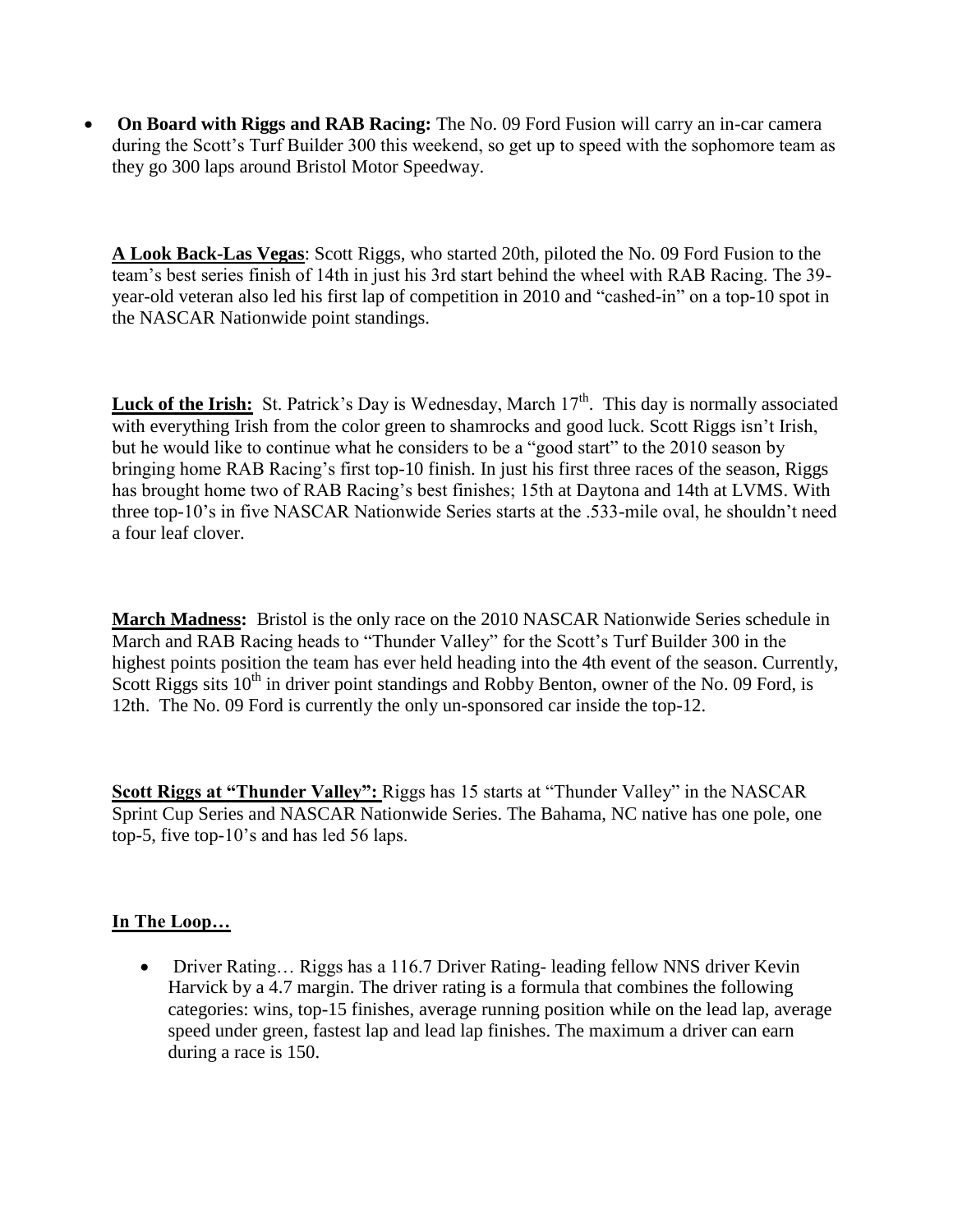**On Board with Riggs and RAB Racing:** The No. 09 Ford Fusion will carry an in-car camera during the Scott's Turf Builder 300 this weekend, so get up to speed with the sophomore team as they go 300 laps around Bristol Motor Speedway.

**A Look Back-Las Vegas**: Scott Riggs, who started 20th, piloted the No. 09 Ford Fusion to the team's best series finish of 14th in just his 3rd start behind the wheel with RAB Racing. The 39 year-old veteran also led his first lap of competition in 2010 and "cashed-in" on a top-10 spot in the NASCAR Nationwide point standings.

**Luck of the Irish:** St. Patrick's Day is Wednesday, March 17<sup>th</sup>. This day is normally associated with everything Irish from the color green to shamrocks and good luck. Scott Riggs isn't Irish, but he would like to continue what he considers to be a "good start" to the 2010 season by bringing home RAB Racing's first top-10 finish. In just his first three races of the season, Riggs has brought home two of RAB Racing's best finishes; 15th at Daytona and 14th at LVMS. With three top-10's in five NASCAR Nationwide Series starts at the .533-mile oval, he shouldn't need a four leaf clover.

**March Madness:** Bristol is the only race on the 2010 NASCAR Nationwide Series schedule in March and RAB Racing heads to "Thunder Valley" for the Scott's Turf Builder 300 in the highest points position the team has ever held heading into the 4th event of the season. Currently, Scott Riggs sits  $10<sup>th</sup>$  in driver point standings and Robby Benton, owner of the No. 09 Ford, is 12th. The No. 09 Ford is currently the only un-sponsored car inside the top-12.

**Scott Riggs at "Thunder Valley":** Riggs has 15 starts at "Thunder Valley" in the NASCAR Sprint Cup Series and NASCAR Nationwide Series. The Bahama, NC native has one pole, one top-5, five top-10's and has led 56 laps.

# **In The Loop…**

• Driver Rating... Riggs has a 116.7 Driver Rating-leading fellow NNS driver Kevin Harvick by a 4.7 margin. The driver rating is a formula that combines the following categories: wins, top-15 finishes, average running position while on the lead lap, average speed under green, fastest lap and lead lap finishes. The maximum a driver can earn during a race is 150.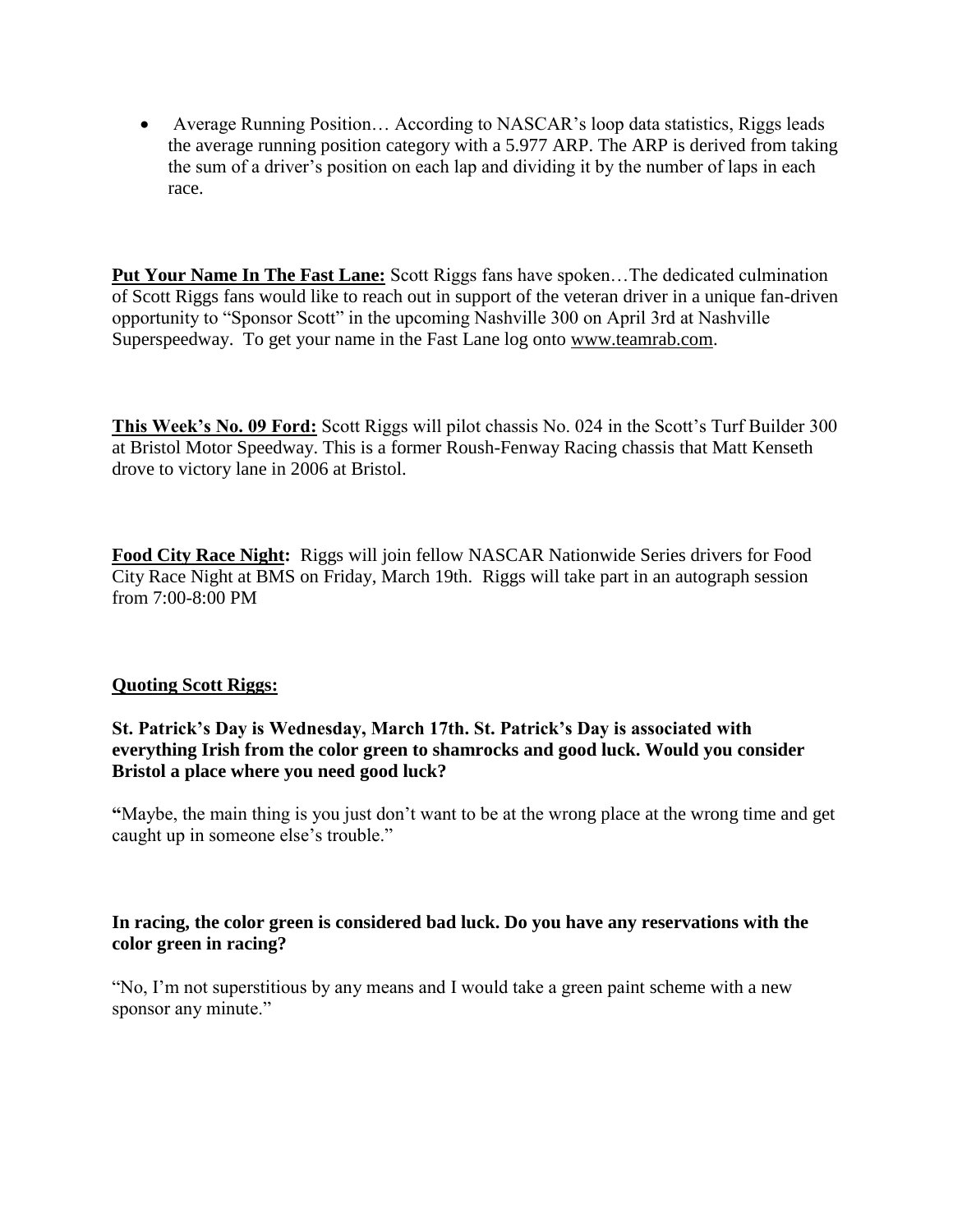• Average Running Position... According to NASCAR's loop data statistics, Riggs leads the average running position category with a 5.977 ARP. The ARP is derived from taking the sum of a driver's position on each lap and dividing it by the number of laps in each race.

**Put Your Name In The Fast Lane:** Scott Riggs fans have spoken…The dedicated culmination of Scott Riggs fans would like to reach out in support of the veteran driver in a unique fan-driven opportunity to "Sponsor Scott" in the upcoming Nashville 300 on April 3rd at Nashville Superspeedway. To get your name in the Fast Lane log onto [www.teamrab.com.](http://www.teamrab.com/)

**This Week's No. 09 Ford:** Scott Riggs will pilot chassis No. 024 in the Scott's Turf Builder 300 at Bristol Motor Speedway. This is a former Roush-Fenway Racing chassis that Matt Kenseth drove to victory lane in 2006 at Bristol.

**Food City Race Night:** Riggs will join fellow NASCAR Nationwide Series drivers for Food City Race Night at BMS on Friday, March 19th. Riggs will take part in an autograph session from 7:00-8:00 PM

# **Quoting Scott Riggs:**

### **St. Patrick's Day is Wednesday, March 17th. St. Patrick's Day is associated with everything Irish from the color green to shamrocks and good luck. Would you consider Bristol a place where you need good luck?**

**"**Maybe, the main thing is you just don't want to be at the wrong place at the wrong time and get caught up in someone else's trouble."

### **In racing, the color green is considered bad luck. Do you have any reservations with the color green in racing?**

"No, I'm not superstitious by any means and I would take a green paint scheme with a new sponsor any minute."